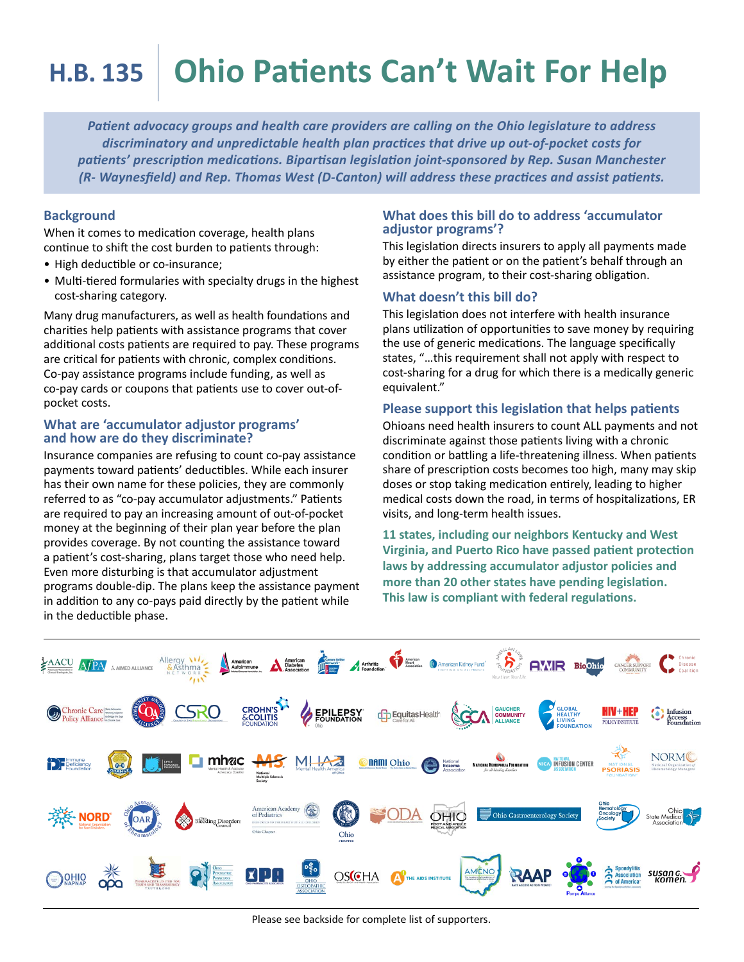# **H.B. 135 Ohio Patients Can't Wait For Help**

*Patient advocacy groups and health care providers are calling on the Ohio legislature to address discriminatory and unpredictable health plan practices that drive up out-of-pocket costs for patients' prescription medications. Bipartisan legislation joint-sponsored by Rep. Susan Manchester (R- Waynesfield) and Rep. Thomas West (D-Canton) will address these practices and assist patients.*

## **Background**

When it comes to medication coverage, health plans continue to shift the cost burden to patients through:

- High deductible or co-insurance;
- Multi-tiered formularies with specialty drugs in the highest cost-sharing category.

Many drug manufacturers, as well as health foundations and charities help patients with assistance programs that cover additional costs patients are required to pay. These programs are critical for patients with chronic, complex conditions. Co-pay assistance programs include funding, as well as co-pay cards or coupons that patients use to cover out-ofpocket costs.

## **What are 'accumulator adjustor programs' and how are do they discriminate?**

Insurance companies are refusing to count co-pay assistance payments toward patients' deductibles. While each insurer has their own name for these policies, they are commonly referred to as "co-pay accumulator adjustments." Patients are required to pay an increasing amount of out-of-pocket money at the beginning of their plan year before the plan provides coverage. By not counting the assistance toward a patient's cost-sharing, plans target those who need help. Even more disturbing is that accumulator adjustment programs double-dip. The plans keep the assistance payment in addition to any co-pays paid directly by the patient while in the deductible phase.

#### **What does this bill do to address 'accumulator adjustor programs'?**

This legislation directs insurers to apply all payments made by either the patient or on the patient's behalf through an assistance program, to their cost-sharing obligation.

# **What doesn't this bill do?**

This legislation does not interfere with health insurance plans utilization of opportunities to save money by requiring the use of generic medications. The language specifically states, "…this requirement shall not apply with respect to cost-sharing for a drug for which there is a medically generic equivalent."

# **Please support this legislation that helps patients**

Ohioans need health insurers to count ALL payments and not discriminate against those patients living with a chronic condition or battling a life-threatening illness. When patients share of prescription costs becomes too high, many may skip doses or stop taking medication entirely, leading to higher medical costs down the road, in terms of hospitalizations, ER visits, and long-term health issues.

**11 states, including our neighbors Kentucky and West Virginia, and Puerto Rico have passed patient protection laws by addressing accumulator adjustor policies and more than 20 other states have pending legislation. This law is compliant with federal regulations.**



Please see backside for complete list of supporters.